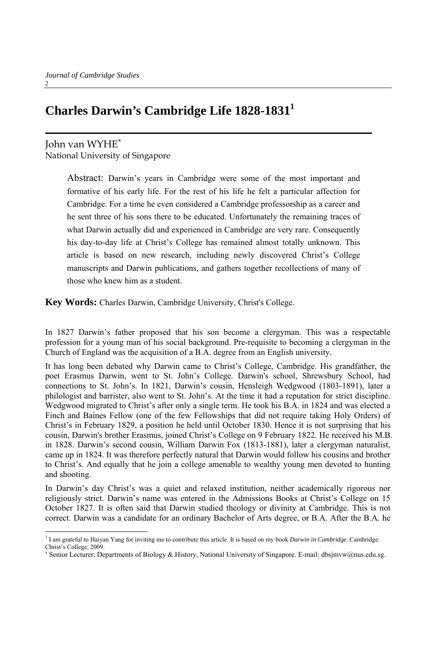# **Charles Darwin's Cambridge Life 1828-18311**

# John van WYHE<sup>∗</sup>

National University of Singapore

Abstract: Darwin's years in Cambridge were some of the most important and formative of his early life. For the rest of his life he felt a particular affection for Cambridge. For a time he even considered a Cambridge professorship as a career and he sent three of his sons there to be educated. Unfortunately the remaining traces of what Darwin actually did and experienced in Cambridge are very rare. Consequently his day-to-day life at Christ's College has remained almost totally unknown. This article is based on new research, including newly discovered Christ's College manuscripts and Darwin publications, and gathers together recollections of many of those who knew him as a student.

**Key Words:** Charles Darwin, Cambridge University, Christ's College.

In 1827 Darwin's father proposed that his son become a clergyman. This was a respectable profession for a young man of his social background. Pre-requisite to becoming a clergyman in the Church of England was the acquisition of a B.A. degree from an English university.

It has long been debated why Darwin came to Christ's College, Cambridge. His grandfather, the poet Erasmus Darwin, went to St. John's College. Darwin's school, Shrewsbury School, had connections to St. John's. In 1821, Darwin's cousin, Hensleigh Wedgwood (1803-1891), later a philologist and barrister, also went to St. John's. At the time it had a reputation for strict discipline. Wedgwood migrated to Christ's after only a single term. He took his B.A. in 1824 and was elected a Finch and Baines Fellow (one of the few Fellowships that did not require taking Holy Orders) of Christ's in February 1829, a position he held until October 1830. Hence it is not surprising that his cousin, Darwin's brother Erasmus, joined Christ's College on 9 February 1822. He received his M.B. in 1828. Darwin's second cousin, William Darwin Fox (1813-1881), later a clergyman naturalist, came up in 1824. It was therefore perfectly natural that Darwin would follow his cousins and brother to Christ's. And equally that he join a college amenable to wealthy young men devoted to hunting and shooting.

In Darwin's day Christ's was a quiet and relaxed institution, neither academically rigorous nor religiously strict. Darwin's name was entered in the Admissions Books at Christ's College on 15 October 1827. It is often said that Darwin studied theology or divinity at Cambridge. This is not correct. Darwin was a candidate for an ordinary Bachelor of Arts degree, or B.A. After the B.A. he

 $\overline{a}$ <sup>1</sup> I am grateful to Haiyan Yang for inviting me to contribute this article. It is based on my book *Darwin in Cambridge*: Cambridge: Christ's College, 2009.

<sup>∗</sup> Senior Lecturer, Departments of Biology & History, National University of Singapore. E-mail: dbsjmvw@nus.edu.sg.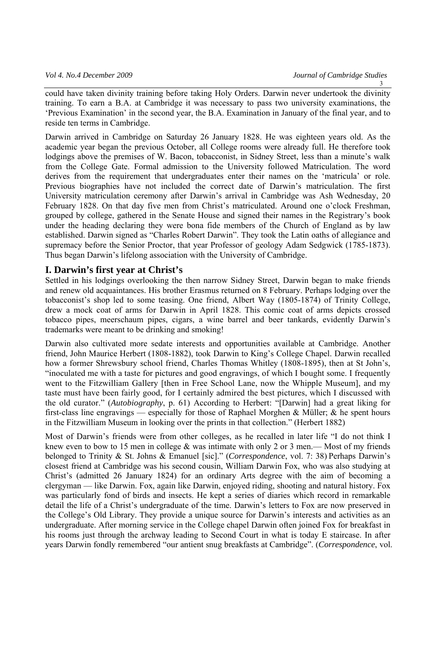could have taken divinity training before taking Holy Orders. Darwin never undertook the divinity training. To earn a B.A. at Cambridge it was necessary to pass two university examinations, the 'Previous Examination' in the second year, the B.A. Examination in January of the final year, and to reside ten terms in Cambridge.

Darwin arrived in Cambridge on Saturday 26 January 1828. He was eighteen years old. As the academic year began the previous October, all College rooms were already full. He therefore took lodgings above the premises of W. Bacon, tobacconist, in Sidney Street, less than a minute's walk from the College Gate. Formal admission to the University followed Matriculation. The word derives from the requirement that undergraduates enter their names on the 'matricula' or role. Previous biographies have not included the correct date of Darwin's matriculation. The first University matriculation ceremony after Darwin's arrival in Cambridge was Ash Wednesday, 20 February 1828. On that day five men from Christ's matriculated. Around one o'clock Freshman, grouped by college, gathered in the Senate House and signed their names in the Registrary's book under the heading declaring they were bona fide members of the Church of England as by law established. Darwin signed as "Charles Robert Darwin". They took the Latin oaths of allegiance and supremacy before the Senior Proctor, that year Professor of geology Adam Sedgwick (1785-1873). Thus began Darwin's lifelong association with the University of Cambridge.

#### **I. Darwin's first year at Christ's**

Settled in his lodgings overlooking the then narrow Sidney Street, Darwin began to make friends and renew old acquaintances. His brother Erasmus returned on 8 February. Perhaps lodging over the tobacconist's shop led to some teasing. One friend, Albert Way (1805-1874) of Trinity College, drew a mock coat of arms for Darwin in April 1828. This comic coat of arms depicts crossed tobacco pipes, meerschaum pipes, cigars, a wine barrel and beer tankards, evidently Darwin's trademarks were meant to be drinking and smoking!

Darwin also cultivated more sedate interests and opportunities available at Cambridge. Another friend, John Maurice Herbert (1808-1882), took Darwin to King's College Chapel. Darwin recalled how a former Shrewsbury school friend, Charles Thomas Whitley (1808-1895), then at St John's, "inoculated me with a taste for pictures and good engravings, of which I bought some. I frequently went to the Fitzwilliam Gallery [then in Free School Lane, now the Whipple Museum], and my taste must have been fairly good, for I certainly admired the best pictures, which I discussed with the old curator." (*Autobiography*, p. 61) According to Herbert: "[Darwin] had a great liking for first-class line engravings — especially for those of Raphael Morghen & Müller; & he spent hours in the Fitzwilliam Museum in looking over the prints in that collection." (Herbert 1882)

Most of Darwin's friends were from other colleges, as he recalled in later life "I do not think I knew even to bow to 15 men in college  $\&$  was intimate with only 2 or 3 men.— Most of my friends belonged to Trinity & St. Johns & Emanuel [sic]." (*Correspondence*, vol. 7: 38) Perhaps Darwin's closest friend at Cambridge was his second cousin, William Darwin Fox, who was also studying at Christ's (admitted 26 January 1824) for an ordinary Arts degree with the aim of becoming a clergyman — like Darwin. Fox, again like Darwin, enjoyed riding, shooting and natural history. Fox was particularly fond of birds and insects. He kept a series of diaries which record in remarkable detail the life of a Christ's undergraduate of the time. Darwin's letters to Fox are now preserved in the College's Old Library. They provide a unique source for Darwin's interests and activities as an undergraduate. After morning service in the College chapel Darwin often joined Fox for breakfast in his rooms just through the archway leading to Second Court in what is today E staircase. In after years Darwin fondly remembered "our antient snug breakfasts at Cambridge". (*Correspondence*, vol.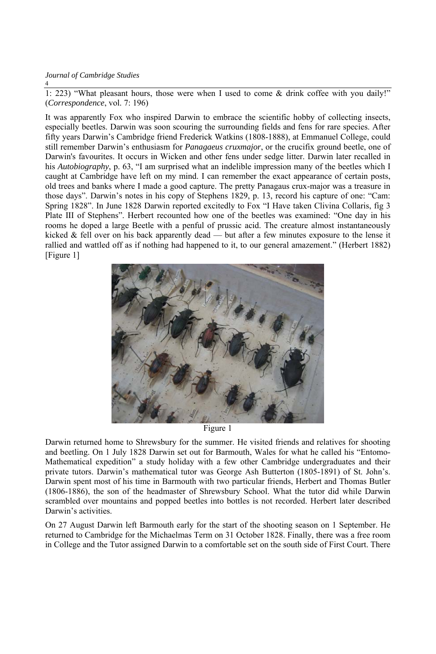1: 223) "What pleasant hours, those were when I used to come & drink coffee with you daily!" (*Correspondence*, vol. 7: 196)

It was apparently Fox who inspired Darwin to embrace the scientific hobby of collecting insects, especially beetles. Darwin was soon scouring the surrounding fields and fens for rare species. After fifty years Darwin's Cambridge friend Frederick Watkins (1808-1888), at Emmanuel College, could still remember Darwin's enthusiasm for *Panagaeus cruxmajor*, or the crucifix ground beetle, one of Darwin's favourites. It occurs in Wicken and other fens under sedge litter. Darwin later recalled in his *Autobiography*, p. 63, "I am surprised what an indelible impression many of the beetles which I caught at Cambridge have left on my mind. I can remember the exact appearance of certain posts, old trees and banks where I made a good capture. The pretty Panagaus crux-major was a treasure in those days". Darwin's notes in his copy of Stephens 1829, p. 13, record his capture of one: "Cam: Spring 1828". In June 1828 Darwin reported excitedly to Fox "I Have taken Clivina Collaris, fig 3 Plate III of Stephens". Herbert recounted how one of the beetles was examined: "One day in his rooms he doped a large Beetle with a penful of prussic acid. The creature almost instantaneously kicked & fell over on his back apparently dead — but after a few minutes exposure to the lense it rallied and wattled off as if nothing had happened to it, to our general amazement." (Herbert 1882) [Figure 1]



Figure 1

Darwin returned home to Shrewsbury for the summer. He visited friends and relatives for shooting and beetling. On 1 July 1828 Darwin set out for Barmouth, Wales for what he called his "Entomo-Mathematical expedition" a study holiday with a few other Cambridge undergraduates and their private tutors. Darwin's mathematical tutor was George Ash Butterton (1805-1891) of St. John's. Darwin spent most of his time in Barmouth with two particular friends, Herbert and Thomas Butler (1806-1886), the son of the headmaster of Shrewsbury School. What the tutor did while Darwin scrambled over mountains and popped beetles into bottles is not recorded. Herbert later described Darwin's activities.

On 27 August Darwin left Barmouth early for the start of the shooting season on 1 September. He returned to Cambridge for the Michaelmas Term on 31 October 1828. Finally, there was a free room in College and the Tutor assigned Darwin to a comfortable set on the south side of First Court. There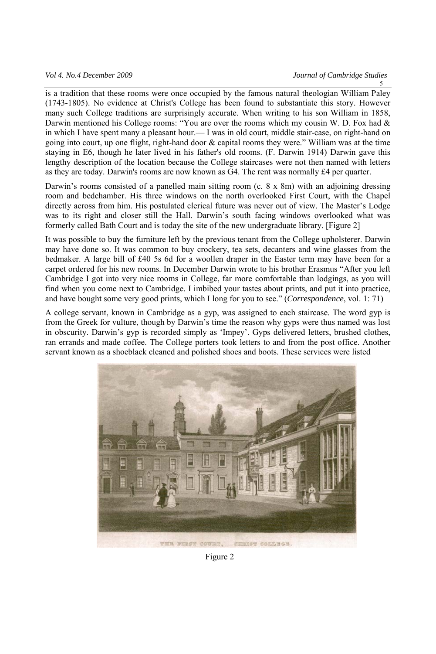is a tradition that these rooms were once occupied by the famous natural theologian William Paley (1743-1805). No evidence at Christ's College has been found to substantiate this story. However many such College traditions are surprisingly accurate. When writing to his son William in 1858, Darwin mentioned his College rooms: "You are over the rooms which my cousin W. D. Fox had  $\&$ in which I have spent many a pleasant hour.— I was in old court, middle stair-case, on right-hand on going into court, up one flight, right-hand door & capital rooms they were." William was at the time staying in E6, though he later lived in his father's old rooms. (F. Darwin 1914) Darwin gave this lengthy description of the location because the College staircases were not then named with letters as they are today. Darwin's rooms are now known as G4. The rent was normally £4 per quarter.

Darwin's rooms consisted of a panelled main sitting room (c. 8 x 8m) with an adjoining dressing room and bedchamber. His three windows on the north overlooked First Court, with the Chapel directly across from him. His postulated clerical future was never out of view. The Master's Lodge was to its right and closer still the Hall. Darwin's south facing windows overlooked what was formerly called Bath Court and is today the site of the new undergraduate library. [Figure 2]

It was possible to buy the furniture left by the previous tenant from the College upholsterer. Darwin may have done so. It was common to buy crockery, tea sets, decanters and wine glasses from the bedmaker. A large bill of £40 5s 6d for a woollen draper in the Easter term may have been for a carpet ordered for his new rooms. In December Darwin wrote to his brother Erasmus "After you left Cambridge I got into very nice rooms in College, far more comfortable than lodgings, as you will find when you come next to Cambridge. I imbibed your tastes about prints, and put it into practice, and have bought some very good prints, which I long for you to see." (*Correspondence*, vol. 1: 71)

A college servant, known in Cambridge as a gyp, was assigned to each staircase. The word gyp is from the Greek for vulture, though by Darwin's time the reason why gyps were thus named was lost in obscurity. Darwin's gyp is recorded simply as 'Impey'. Gyps delivered letters, brushed clothes, ran errands and made coffee. The College porters took letters to and from the post office. Another servant known as a shoeblack cleaned and polished shoes and boots. These services were listed



Figure 2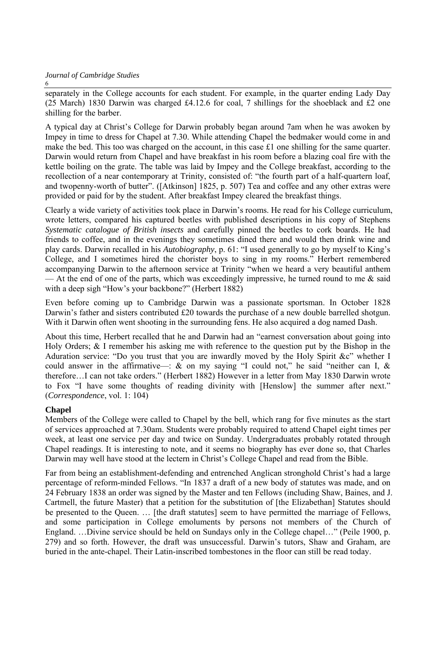separately in the College accounts for each student. For example, in the quarter ending Lady Day (25 March) 1830 Darwin was charged  $\text{\pounds}4.12.6$  for coal, 7 shillings for the shoeblack and  $\text{\pounds}2$  one shilling for the barber.

A typical day at Christ's College for Darwin probably began around 7am when he was awoken by Impey in time to dress for Chapel at 7.30. While attending Chapel the bedmaker would come in and make the bed. This too was charged on the account, in this case  $\pounds$  one shilling for the same quarter. Darwin would return from Chapel and have breakfast in his room before a blazing coal fire with the kettle boiling on the grate. The table was laid by Impey and the College breakfast, according to the recollection of a near contemporary at Trinity, consisted of: "the fourth part of a half-quartern loaf, and twopenny-worth of butter". ([Atkinson] 1825, p. 507) Tea and coffee and any other extras were provided or paid for by the student. After breakfast Impey cleared the breakfast things.

Clearly a wide variety of activities took place in Darwin's rooms. He read for his College curriculum, wrote letters, compared his captured beetles with published descriptions in his copy of Stephens *Systematic catalogue of British insects* and carefully pinned the beetles to cork boards. He had friends to coffee, and in the evenings they sometimes dined there and would then drink wine and play cards. Darwin recalled in his *Autobiography*, p. 61: "I used generally to go by myself to King's College, and I sometimes hired the chorister boys to sing in my rooms." Herbert remembered accompanying Darwin to the afternoon service at Trinity "when we heard a very beautiful anthem — At the end of one of the parts, which was exceedingly impressive, he turned round to me  $\&$  said with a deep sigh "How's your backbone?" (Herbert 1882)

Even before coming up to Cambridge Darwin was a passionate sportsman. In October 1828 Darwin's father and sisters contributed £20 towards the purchase of a new double barrelled shotgun. With it Darwin often went shooting in the surrounding fens. He also acquired a dog named Dash.

About this time, Herbert recalled that he and Darwin had an "earnest conversation about going into Holy Orders; & I remember his asking me with reference to the question put by the Bishop in the Aduration service: "Do you trust that you are inwardly moved by the Holy Spirit &c" whether I could answer in the affirmative—:  $\&$  on my saying "I could not," he said "neither can I,  $\&$ therefore…I can not take orders." (Herbert 1882) However in a letter from May 1830 Darwin wrote to Fox "I have some thoughts of reading divinity with [Henslow] the summer after next." (*Correspondence*, vol. 1: 104)

#### **Chapel**

Members of the College were called to Chapel by the bell, which rang for five minutes as the start of services approached at 7.30am. Students were probably required to attend Chapel eight times per week, at least one service per day and twice on Sunday. Undergraduates probably rotated through Chapel readings. It is interesting to note, and it seems no biography has ever done so, that Charles Darwin may well have stood at the lectern in Christ's College Chapel and read from the Bible.

Far from being an establishment-defending and entrenched Anglican stronghold Christ's had a large percentage of reform-minded Fellows. "In 1837 a draft of a new body of statutes was made, and on 24 February 1838 an order was signed by the Master and ten Fellows (including Shaw, Baines, and J. Cartmell, the future Master) that a petition for the substitution of [the Elizabethan] Statutes should be presented to the Queen. … [the draft statutes] seem to have permitted the marriage of Fellows, and some participation in College emoluments by persons not members of the Church of England. …Divine service should be held on Sundays only in the College chapel…" (Peile 1900, p. 279) and so forth. However, the draft was unsuccessful. Darwin's tutors, Shaw and Graham, are buried in the ante-chapel. Their Latin-inscribed tombestones in the floor can still be read today.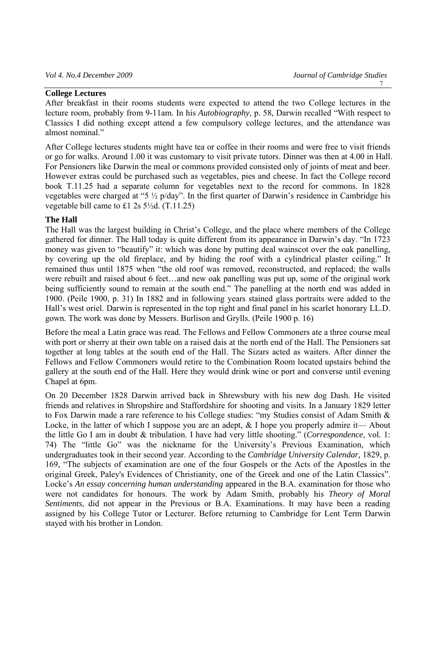#### **College Lectures**

After breakfast in their rooms students were expected to attend the two College lectures in the lecture room, probably from 9-11am. In his *Autobiography*, p. 58, Darwin recalled "With respect to Classics I did nothing except attend a few compulsory college lectures, and the attendance was almost nominal."

After College lectures students might have tea or coffee in their rooms and were free to visit friends or go for walks. Around 1.00 it was customary to visit private tutors. Dinner was then at 4.00 in Hall. For Pensioners like Darwin the meal or commons provided consisted only of joints of meat and beer. However extras could be purchased such as vegetables, pies and cheese. In fact the College record book T.11.25 had a separate column for vegetables next to the record for commons. In 1828 vegetables were charged at "5 ½ p/day". In the first quarter of Darwin's residence in Cambridge his vegetable bill came to £1 2s 5½d. (T.11.25)

#### **The Hall**

The Hall was the largest building in Christ's College, and the place where members of the College gathered for dinner. The Hall today is quite different from its appearance in Darwin's day. "In 1723 money was given to "beautify" it: which was done by putting deal wainscot over the oak panelling, by covering up the old fireplace, and by hiding the roof with a cylindrical plaster ceiling." It remained thus until 1875 when "the old roof was removed, reconstructed, and replaced; the walls were rebuilt and raised about 6 feet…and new oak panelling was put up, some of the original work being sufficiently sound to remain at the south end." The panelling at the north end was added in 1900. (Peile 1900, p. 31) In 1882 and in following years stained glass portraits were added to the Hall's west oriel. Darwin is represented in the top right and final panel in his scarlet honorary LL.D. gown. The work was done by Messers. Burlison and Grylls. (Peile 1900 p. 16)

Before the meal a Latin grace was read. The Fellows and Fellow Commoners ate a three course meal with port or sherry at their own table on a raised dais at the north end of the Hall. The Pensioners sat together at long tables at the south end of the Hall. The Sizars acted as waiters. After dinner the Fellows and Fellow Commoners would retire to the Combination Room located upstairs behind the gallery at the south end of the Hall. Here they would drink wine or port and converse until evening Chapel at 6pm.

On 20 December 1828 Darwin arrived back in Shrewsbury with his new dog Dash. He visited friends and relatives in Shropshire and Staffordshire for shooting and visits. In a January 1829 letter to Fox Darwin made a rare reference to his College studies: "my Studies consist of Adam Smith & Locke, in the latter of which I suppose you are an adept, & I hope you properly admire it— About the little Go I am in doubt & tribulation. I have had very little shooting." (*Correspondence*, vol. 1: 74) The "little Go" was the nickname for the University's Previous Examination, which undergraduates took in their second year. According to the *Cambridge University Calendar,* 1829, p. 169, "The subjects of examination are one of the four Gospels or the Acts of the Apostles in the original Greek, Paley's Evidences of Christianity, one of the Greek and one of the Latin Classics". Locke's *An essay concerning human understanding* appeared in the B.A. examination for those who were not candidates for honours. The work by Adam Smith, probably his *Theory of Moral Sentiments*, did not appear in the Previous or B.A. Examinations. It may have been a reading assigned by his College Tutor or Lecturer. Before returning to Cambridge for Lent Term Darwin stayed with his brother in London.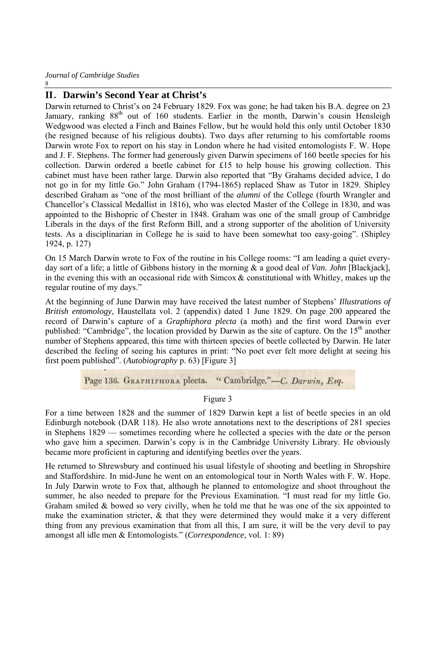#### **II**.**Darwin's Second Year at Christ's**

Darwin returned to Christ's on 24 February 1829. Fox was gone; he had taken his B.A. degree on 23 January, ranking 88<sup>th</sup> out of 160 students. Earlier in the month, Darwin's cousin Hensleigh Wedgwood was elected a Finch and Baines Fellow, but he would hold this only until October 1830 (he resigned because of his religious doubts). Two days after returning to his comfortable rooms Darwin wrote Fox to report on his stay in London where he had visited entomologists F. W. Hope and J. F. Stephens. The former had generously given Darwin specimens of 160 beetle species for his collection. Darwin ordered a beetle cabinet for £15 to help house his growing collection. This cabinet must have been rather large. Darwin also reported that "By Grahams decided advice, I do not go in for my little Go." John Graham (1794-1865) replaced Shaw as Tutor in 1829. Shipley described Graham as "one of the most brilliant of the *alumni* of the College (fourth Wrangler and Chancellor's Classical Medallist in 1816), who was elected Master of the College in 1830, and was appointed to the Bishopric of Chester in 1848. Graham was one of the small group of Cambridge Liberals in the days of the first Reform Bill, and a strong supporter of the abolition of University tests. As a disciplinarian in College he is said to have been somewhat too easy-going". (Shipley 1924, p. 127)

On 15 March Darwin wrote to Fox of the routine in his College rooms: "I am leading a quiet everyday sort of a life; a little of Gibbons history in the morning & a good deal of *Van. John* [Blackjack], in the evening this with an occasional ride with Simcox  $\&$  constitutional with Whitley, makes up the regular routine of my days."

At the beginning of June Darwin may have received the latest number of Stephens' *Illustrations of British entomology*, Haustellata vol. 2 (appendix) dated 1 June 1829. On page 200 appeared the record of Darwin's capture of a *Graphiphora plecta* (a moth) and the first word Darwin ever published: "Cambridge", the location provided by Darwin as the site of capture. On the 15<sup>th</sup> another number of Stephens appeared, this time with thirteen species of beetle collected by Darwin. He later described the feeling of seeing his captures in print: "No poet ever felt more delight at seeing his first poem published". (*Autobiography* p. 63) [Figure 3]

Page 136. GRAPHIPHORA plecta. "Cambridge."-C. Darwin, Esq.

Figure 3

For a time between 1828 and the summer of 1829 Darwin kept a list of beetle species in an old Edinburgh notebook (DAR 118). He also wrote annotations next to the descriptions of 281 species in Stephens 1829 — sometimes recording where he collected a species with the date or the person who gave him a specimen. Darwin's copy is in the Cambridge University Library. He obviously became more proficient in capturing and identifying beetles over the years.

He returned to Shrewsbury and continued his usual lifestyle of shooting and beetling in Shropshire and Staffordshire. In mid-June he went on an entomological tour in North Wales with F. W. Hope. In July Darwin wrote to Fox that, although he planned to entomologize and shoot throughout the summer, he also needed to prepare for the Previous Examination. "I must read for my little Go. Graham smiled  $&$  bowed so very civilly, when he told me that he was one of the six appointed to make the examination stricter, & that they were determined they would make it a very different thing from any previous examination that from all this, I am sure, it will be the very devil to pay amongst all idle men & Entomologists." (*Correspondence*, vol. 1: 89)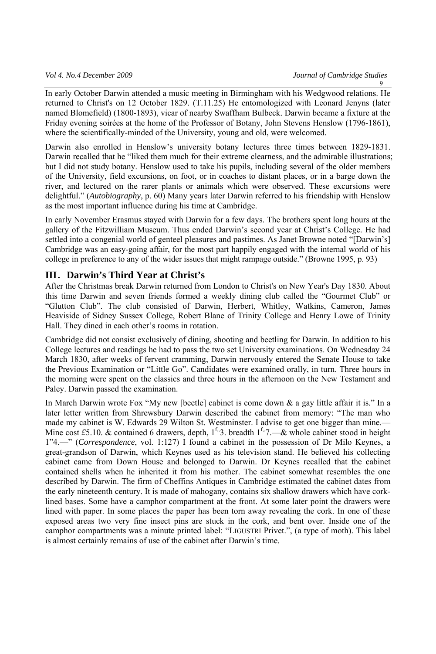In early October Darwin attended a music meeting in Birmingham with his Wedgwood relations. He returned to Christ's on 12 October 1829. (T.11.25) He entomologized with Leonard Jenyns (later named Blomefield) (1800-1893), vicar of nearby Swaffham Bulbeck. Darwin became a fixture at the Friday evening soirées at the home of the Professor of Botany, John Stevens Henslow (1796-1861), where the scientifically-minded of the University, young and old, were welcomed.

Darwin also enrolled in Henslow's university botany lectures three times between 1829-1831. Darwin recalled that he "liked them much for their extreme clearness, and the admirable illustrations; but I did not study botany. Henslow used to take his pupils, including several of the older members of the University, field excursions, on foot, or in coaches to distant places, or in a barge down the river, and lectured on the rarer plants or animals which were observed. These excursions were delightful." (*Autobiography*, p. 60) Many years later Darwin referred to his friendship with Henslow as the most important influence during his time at Cambridge.

In early November Erasmus stayed with Darwin for a few days. The brothers spent long hours at the gallery of the Fitzwilliam Museum. Thus ended Darwin's second year at Christ's College. He had settled into a congenial world of genteel pleasures and pastimes. As Janet Browne noted "[Darwin's] Cambridge was an easy-going affair, for the most part happily engaged with the internal world of his college in preference to any of the wider issues that might rampage outside." (Browne 1995, p. 93)

## **III**.**Darwin's Third Year at Christ's**

After the Christmas break Darwin returned from London to Christ's on New Year's Day 1830. About this time Darwin and seven friends formed a weekly dining club called the "Gourmet Club" or "Glutton Club". The club consisted of Darwin, Herbert, Whitley, Watkins, Cameron, James Heaviside of Sidney Sussex College, Robert Blane of Trinity College and Henry Lowe of Trinity Hall. They dined in each other's rooms in rotation.

Cambridge did not consist exclusively of dining, shooting and beetling for Darwin. In addition to his College lectures and readings he had to pass the two set University examinations. On Wednesday 24 March 1830, after weeks of fervent cramming, Darwin nervously entered the Senate House to take the Previous Examination or "Little Go". Candidates were examined orally, in turn. Three hours in the morning were spent on the classics and three hours in the afternoon on the New Testament and Paley. Darwin passed the examination.

In March Darwin wrote Fox "My new [beetle] cabinet is come down & a gay little affair it is." In a later letter written from Shrewsbury Darwin described the cabinet from memory: "The man who made my cabinet is W. Edwards 29 Wilton St. Westminster. I advise to get one bigger than mine.— Mine cost £5.10. & contained 6 drawers, depth,  $1^{\text{f}}$ , 3. breadth  $1^{\text{f}}$ , 7.—& whole cabinet stood in height 1"4.—" (*Correspondence*, vol. 1:127) I found a cabinet in the possession of Dr Milo Keynes, a great-grandson of Darwin, which Keynes used as his television stand. He believed his collecting cabinet came from Down House and belonged to Darwin. Dr Keynes recalled that the cabinet contained shells when he inherited it from his mother. The cabinet somewhat resembles the one described by Darwin. The firm of Cheffins Antiques in Cambridge estimated the cabinet dates from the early nineteenth century. It is made of mahogany, contains six shallow drawers which have corklined bases. Some have a camphor compartment at the front. At some later point the drawers were lined with paper. In some places the paper has been torn away revealing the cork. In one of these exposed areas two very fine insect pins are stuck in the cork, and bent over. Inside one of the camphor compartments was a minute printed label: "LIGUSTRI Privet.", (a type of moth). This label is almost certainly remains of use of the cabinet after Darwin's time.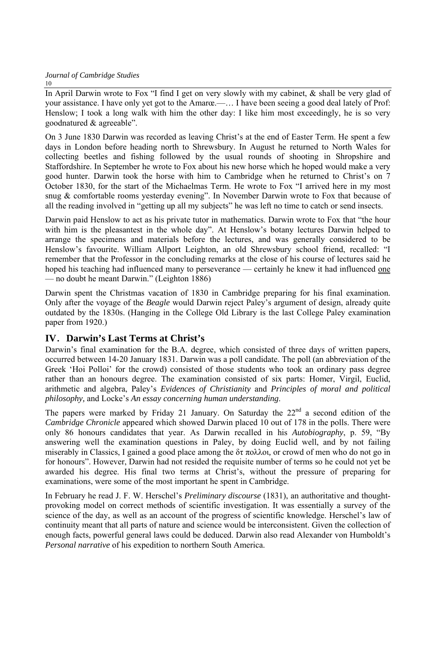In April Darwin wrote to Fox "I find I get on very slowly with my cabinet, & shall be very glad of your assistance. I have only yet got to the Amarœ.—… I have been seeing a good deal lately of Prof: Henslow; I took a long walk with him the other day: I like him most exceedingly, he is so very goodnatured & agreeable".

On 3 June 1830 Darwin was recorded as leaving Christ's at the end of Easter Term. He spent a few days in London before heading north to Shrewsbury. In August he returned to North Wales for collecting beetles and fishing followed by the usual rounds of shooting in Shropshire and Staffordshire. In September he wrote to Fox about his new horse which he hoped would make a very good hunter. Darwin took the horse with him to Cambridge when he returned to Christ's on 7 October 1830, for the start of the Michaelmas Term. He wrote to Fox "I arrived here in my most snug & comfortable rooms yesterday evening". In November Darwin wrote to Fox that because of all the reading involved in "getting up all my subjects" he was left no time to catch or send insects.

Darwin paid Henslow to act as his private tutor in mathematics. Darwin wrote to Fox that "the hour with him is the pleasantest in the whole day". At Henslow's botany lectures Darwin helped to arrange the specimens and materials before the lectures, and was generally considered to be Henslow's favourite. William Allport Leighton, an old Shrewsbury school friend, recalled: "I remember that the Professor in the concluding remarks at the close of his course of lectures said he hoped his teaching had influenced many to perseverance — certainly he knew it had influenced one — no doubt he meant Darwin." (Leighton 1886)

Darwin spent the Christmas vacation of 1830 in Cambridge preparing for his final examination. Only after the voyage of the *Beagle* would Darwin reject Paley's argument of design, already quite outdated by the 1830s. (Hanging in the College Old Library is the last College Paley examination paper from 1920.)

# **IV**.**Darwin's Last Terms at Christ's**

Darwin's final examination for the B.A. degree, which consisted of three days of written papers, occurred between 14-20 January 1831. Darwin was a poll candidate. The poll (an abbreviation of the Greek 'Hoi Polloi' for the crowd) consisted of those students who took an ordinary pass degree rather than an honours degree. The examination consisted of six parts: Homer, Virgil, Euclid, arithmetic and algebra, Paley's *Evidences of Christianity* and *Principles of moral and political philosophy,* and Locke's *An essay concerning human understanding*.

The papers were marked by Friday 21 January. On Saturday the  $22<sup>nd</sup>$  a second edition of the *Cambridge Chronicle* appeared which showed Darwin placed 10 out of 178 in the polls. There were only 86 honours candidates that year. As Darwin recalled in his *Autobiography*, p. 59, "By answering well the examination questions in Paley, by doing Euclid well, and by not failing miserably in Classics, I gained a good place among the δτ πολλοι*,* or crowd of men who do not go in for honours". However, Darwin had not resided the requisite number of terms so he could not yet be awarded his degree. His final two terms at Christ's, without the pressure of preparing for examinations, were some of the most important he spent in Cambridge.

In February he read J. F. W. Herschel's *Preliminary discourse* (1831), an authoritative and thoughtprovoking model on correct methods of scientific investigation. It was essentially a survey of the science of the day, as well as an account of the progress of scientific knowledge. Herschel's law of continuity meant that all parts of nature and science would be interconsistent. Given the collection of enough facts, powerful general laws could be deduced. Darwin also read Alexander von Humboldt's *Personal narrative* of his expedition to northern South America.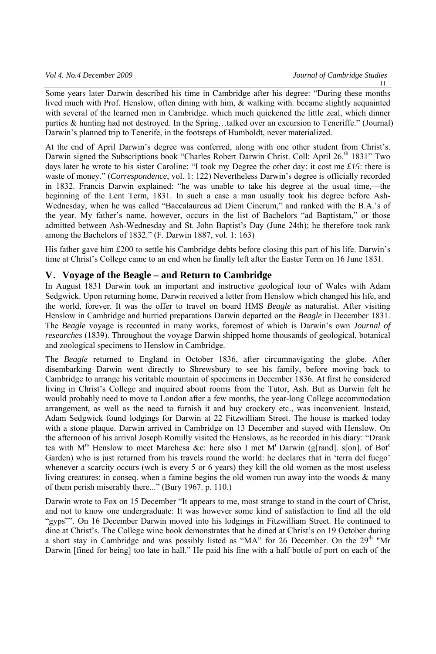Some years later Darwin described his time in Cambridge after his degree: "During these months lived much with Prof. Henslow, often dining with him, & walking with. became slightly acquainted with several of the learned men in Cambridge. which much quickened the little zeal, which dinner parties & hunting had not destroyed. In the Spring…talked over an excursion to Teneriffe." (Journal) Darwin's planned trip to Tenerife, in the footsteps of Humboldt, never materialized.

At the end of April Darwin's degree was conferred, along with one other student from Christ's. Darwin signed the Subscriptions book "Charles Robert Darwin Christ. Coll: April 26.<sup>th</sup> 1831" Two days later he wrote to his sister Caroline: "I took my Degree the other day: it cost me *£15*: there is waste of money." (*Correspondence*, vol. 1: 122) Nevertheless Darwin's degree is officially recorded in 1832. Francis Darwin explained: "he was unable to take his degree at the usual time,—the beginning of the Lent Term, 1831. In such a case a man usually took his degree before Ash-Wednesday, when he was called "Baccalaureus ad Diem Cinerum," and ranked with the B.A.'s of the year. My father's name, however, occurs in the list of Bachelors "ad Baptistam," or those admitted between Ash-Wednesday and St. John Baptist's Day (June 24th); he therefore took rank among the Bachelors of 1832." (F. Darwin 1887, vol. 1: 163)

His father gave him £200 to settle his Cambridge debts before closing this part of his life. Darwin's time at Christ's College came to an end when he finally left after the Easter Term on 16 June 1831.

## **V**.**Voyage of the Beagle – and Return to Cambridge**

In August 1831 Darwin took an important and instructive geological tour of Wales with Adam Sedgwick. Upon returning home, Darwin received a letter from Henslow which changed his life, and the world, forever. It was the offer to travel on board HMS *Beagle* as naturalist. After visiting Henslow in Cambridge and hurried preparations Darwin departed on the *Beagle* in December 1831. The *Beagle* voyage is recounted in many works, foremost of which is Darwin's own *Journal of researches* (1839). Throughout the voyage Darwin shipped home thousands of geological, botanical and zoological specimens to Henslow in Cambridge.

The *Beagle* returned to England in October 1836, after circumnavigating the globe. After disembarking Darwin went directly to Shrewsbury to see his family, before moving back to Cambridge to arrange his veritable mountain of specimens in December 1836. At first he considered living in Christ's College and inquired about rooms from the Tutor, Ash. But as Darwin felt he would probably need to move to London after a few months, the year-long College accommodation arrangement, as well as the need to furnish it and buy crockery etc., was inconvenient. Instead, Adam Sedgwick found lodgings for Darwin at 22 Fitzwilliam Street. The house is marked today with a stone plaque. Darwin arrived in Cambridge on 13 December and stayed with Henslow. On the afternoon of his arrival Joseph Romilly visited the Henslows, as he recorded in his diary: "Drank tea with M<sup>rs</sup> Henslow to meet Marchesa &c: here also I met M<sup>r</sup> Darwin (g[rand]. s[on]. of Bot<sup>c</sup> Garden) who is just returned from his travels round the world: he declares that in 'terra del fuego' whenever a scarcity occurs (wch is every 5 or 6 years) they kill the old women as the most useless living creatures: in conseq. when a famine begins the old women run away into the woods & many of them perish miserably there..." (Bury 1967. p. 110.)

Darwin wrote to Fox on 15 December "It appears to me, most strange to stand in the court of Christ, and not to know one undergraduate: It was however some kind of satisfaction to find all the old "gyps"". On 16 December Darwin moved into his lodgings in Fitzwilliam Street. He continued to dine at Christ's. The College wine book demonstrates that he dined at Christ's on 19 October during a short stay in Cambridge and was possibly listed as "MA" for 26 December. On the  $29<sup>th</sup>$  "Mr Darwin [fined for being] too late in hall." He paid his fine with a half bottle of port on each of the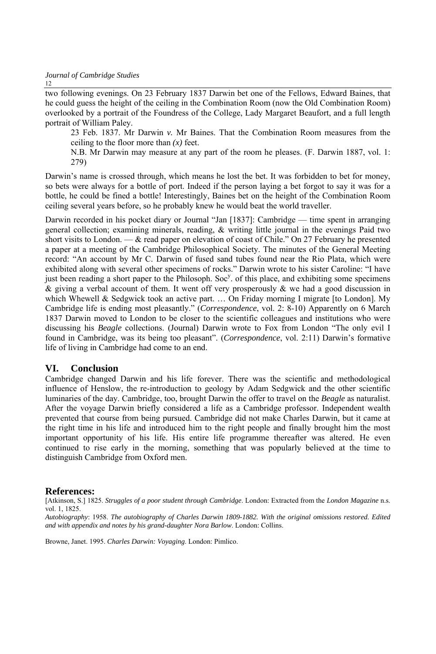two following evenings. On 23 February 1837 Darwin bet one of the Fellows, Edward Baines, that he could guess the height of the ceiling in the Combination Room (now the Old Combination Room) overlooked by a portrait of the Foundress of the College, Lady Margaret Beaufort, and a full length portrait of William Paley.

23 Feb. 1837. Mr Darwin *v.* Mr Baines. That the Combination Room measures from the ceiling to the floor more than *(x)* feet.

N.B. Mr Darwin may measure at any part of the room he pleases. (F. Darwin 1887, vol. 1: 279)

Darwin's name is crossed through, which means he lost the bet. It was forbidden to bet for money, so bets were always for a bottle of port. Indeed if the person laying a bet forgot to say it was for a bottle, he could be fined a bottle! Interestingly, Baines bet on the height of the Combination Room ceiling several years before, so he probably knew he would beat the world traveller.

Darwin recorded in his pocket diary or Journal "Jan [1837]: Cambridge — time spent in arranging general collection; examining minerals, reading, & writing little journal in the evenings Paid two short visits to London. — & read paper on elevation of coast of Chile." On 27 February he presented a paper at a meeting of the Cambridge Philosophical Society. The minutes of the General Meeting record: "An account by Mr C. Darwin of fused sand tubes found near the Rio Plata, which were exhibited along with several other specimens of rocks." Darwin wrote to his sister Caroline: "I have just been reading a short paper to the Philosoph. Soc<sup>y</sup>. of this place, and exhibiting some specimens  $\&$  giving a verbal account of them. It went off very prosperously  $\&$  we had a good discussion in which Whewell & Sedgwick took an active part. ... On Friday morning I migrate [to London]. My Cambridge life is ending most pleasantly." (*Correspondence*, vol. 2: 8-10) Apparently on 6 March 1837 Darwin moved to London to be closer to the scientific colleagues and institutions who were discussing his *Beagle* collections. (Journal) Darwin wrote to Fox from London "The only evil I found in Cambridge, was its being too pleasant". (*Correspondence*, vol. 2:11) Darwin's formative life of living in Cambridge had come to an end.

## **VI. Conclusion**

Cambridge changed Darwin and his life forever. There was the scientific and methodological influence of Henslow, the re-introduction to geology by Adam Sedgwick and the other scientific luminaries of the day. Cambridge, too, brought Darwin the offer to travel on the *Beagle* as naturalist. After the voyage Darwin briefly considered a life as a Cambridge professor. Independent wealth prevented that course from being pursued. Cambridge did not make Charles Darwin, but it came at the right time in his life and introduced him to the right people and finally brought him the most important opportunity of his life. His entire life programme thereafter was altered. He even continued to rise early in the morning, something that was popularly believed at the time to distinguish Cambridge from Oxford men.

#### **References:**

[Atkinson, S.] 1825. *Struggles of a poor student through Cambridge*. London: Extracted from the *London Magazine* n.s. vol. 1, 1825.

*Autobiography*: 1958. *The autobiography of Charles Darwin 1809-1882. With the original omissions restored. Edited and with appendix and notes by his grand-daughter Nora Barlow*. London: Collins.

Browne, Janet. 1995. *Charles Darwin: Voyaging*. London: Pimlico.